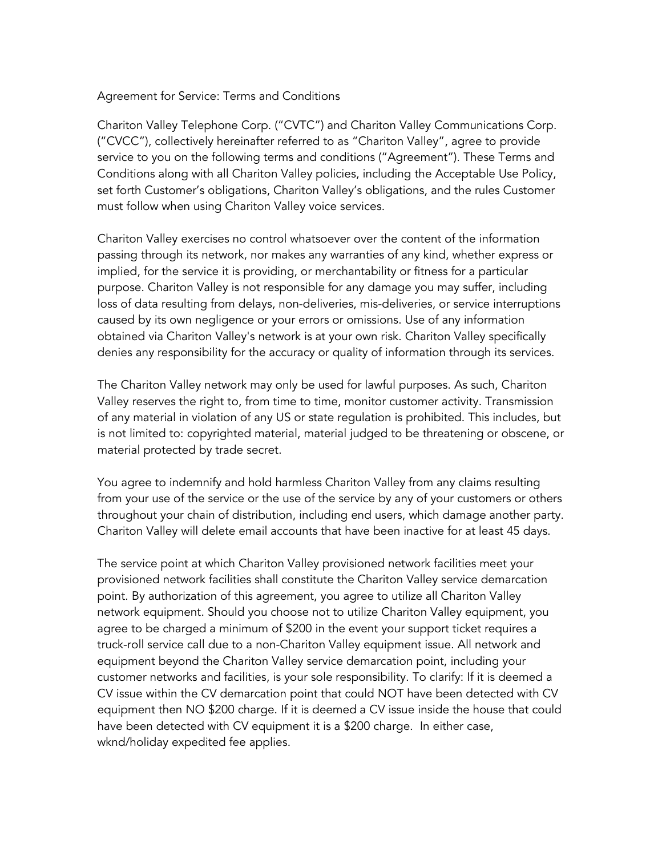## Agreement for Service: Terms and Conditions

Chariton Valley Telephone Corp. ("CVTC") and Chariton Valley Communications Corp. ("CVCC"), collectively hereinafter referred to as "Chariton Valley", agree to provide service to you on the following terms and conditions ("Agreement"). These Terms and Conditions along with all Chariton Valley policies, including the Acceptable Use Policy, set forth Customer's obligations, Chariton Valley's obligations, and the rules Customer must follow when using Chariton Valley voice services.

Chariton Valley exercises no control whatsoever over the content of the information passing through its network, nor makes any warranties of any kind, whether express or implied, for the service it is providing, or merchantability or fitness for a particular purpose. Chariton Valley is not responsible for any damage you may suffer, including loss of data resulting from delays, non-deliveries, mis-deliveries, or service interruptions caused by its own negligence or your errors or omissions. Use of any information obtained via Chariton Valley's network is at your own risk. Chariton Valley specifically denies any responsibility for the accuracy or quality of information through its services.

The Chariton Valley network may only be used for lawful purposes. As such, Chariton Valley reserves the right to, from time to time, monitor customer activity. Transmission of any material in violation of any US or state regulation is prohibited. This includes, but is not limited to: copyrighted material, material judged to be threatening or obscene, or material protected by trade secret.

You agree to indemnify and hold harmless Chariton Valley from any claims resulting from your use of the service or the use of the service by any of your customers or others throughout your chain of distribution, including end users, which damage another party. Chariton Valley will delete email accounts that have been inactive for at least 45 days.

The service point at which Chariton Valley provisioned network facilities meet your provisioned network facilities shall constitute the Chariton Valley service demarcation point. By authorization of this agreement, you agree to utilize all Chariton Valley network equipment. Should you choose not to utilize Chariton Valley equipment, you agree to be charged a minimum of \$200 in the event your support ticket requires a truck-roll service call due to a non-Chariton Valley equipment issue. All network and equipment beyond the Chariton Valley service demarcation point, including your customer networks and facilities, is your sole responsibility. To clarify: If it is deemed a CV issue within the CV demarcation point that could NOT have been detected with CV equipment then NO \$200 charge. If it is deemed a CV issue inside the house that could have been detected with CV equipment it is a \$200 charge. In either case, wknd/holiday expedited fee applies.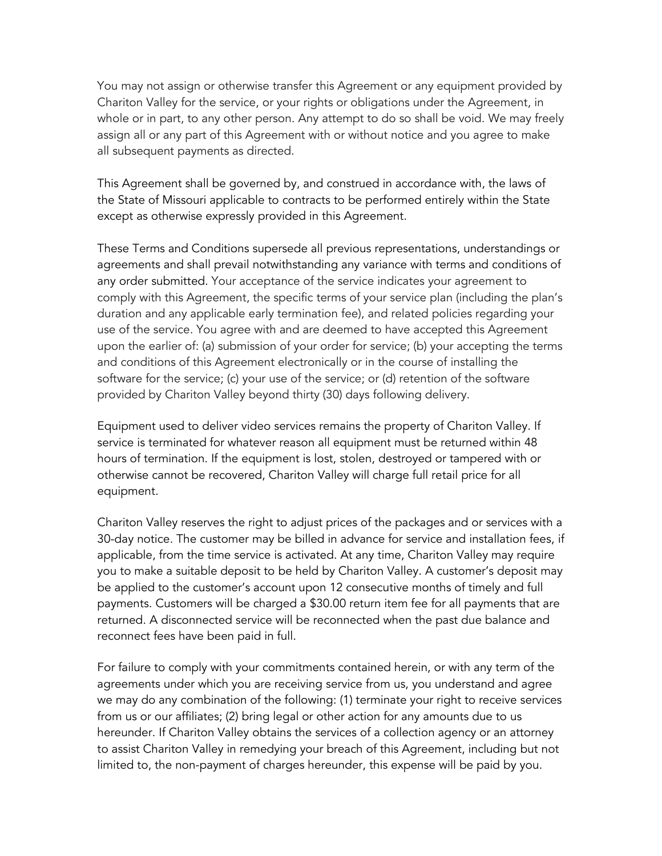You may not assign or otherwise transfer this Agreement or any equipment provided by Chariton Valley for the service, or your rights or obligations under the Agreement, in whole or in part, to any other person. Any attempt to do so shall be void. We may freely assign all or any part of this Agreement with or without notice and you agree to make all subsequent payments as directed.

This Agreement shall be governed by, and construed in accordance with, the laws of the State of Missouri applicable to contracts to be performed entirely within the State except as otherwise expressly provided in this Agreement.

These Terms and Conditions supersede all previous representations, understandings or agreements and shall prevail notwithstanding any variance with terms and conditions of any order submitted. Your acceptance of the service indicates your agreement to comply with this Agreement, the specific terms of your service plan (including the plan's duration and any applicable early termination fee), and related policies regarding your use of the service. You agree with and are deemed to have accepted this Agreement upon the earlier of: (a) submission of your order for service; (b) your accepting the terms and conditions of this Agreement electronically or in the course of installing the software for the service; (c) your use of the service; or (d) retention of the software provided by Chariton Valley beyond thirty (30) days following delivery.

Equipment used to deliver video services remains the property of Chariton Valley. If service is terminated for whatever reason all equipment must be returned within 48 hours of termination. If the equipment is lost, stolen, destroyed or tampered with or otherwise cannot be recovered, Chariton Valley will charge full retail price for all equipment.

Chariton Valley reserves the right to adjust prices of the packages and or services with a 30-day notice. The customer may be billed in advance for service and installation fees, if applicable, from the time service is activated. At any time, Chariton Valley may require you to make a suitable deposit to be held by Chariton Valley. A customer's deposit may be applied to the customer's account upon 12 consecutive months of timely and full payments. Customers will be charged a \$30.00 return item fee for all payments that are returned. A disconnected service will be reconnected when the past due balance and reconnect fees have been paid in full.

For failure to comply with your commitments contained herein, or with any term of the agreements under which you are receiving service from us, you understand and agree we may do any combination of the following: (1) terminate your right to receive services from us or our affiliates; (2) bring legal or other action for any amounts due to us hereunder. If Chariton Valley obtains the services of a collection agency or an attorney to assist Chariton Valley in remedying your breach of this Agreement, including but not limited to, the non-payment of charges hereunder, this expense will be paid by you.